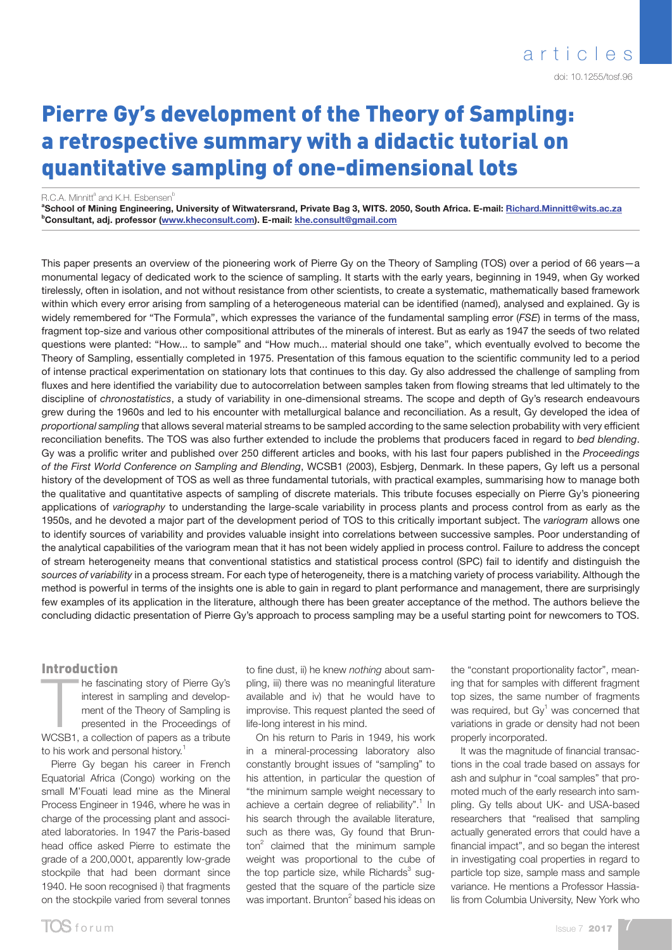# Pierre Gy's development of the Theory of Sampling: a retrospective summary with a didactic tutorial on quantitative sampling of one-dimensional lots

R.C.A. Minnitt<sup>a</sup> and K.H. Esbensen<sup>b</sup>

<sup>a</sup>School of Mining Engineering, University of Witwatersrand, Private Bag 3, WITS. 2050, South Africa. E-mail: <u>Richard.Minnitt[@wits.ac.za](mailto:minnitt%40egoli.min.wits.ac.za?subject=)</u> <sup>b</sup>Consultant, adj. professor (<u>www.kheconsult.com</u>). E-mail: <u>khe.consult@gmail.com</u>

This paper presents an overview of the pioneering work of Pierre Gy on the Theory of Sampling (TOS) over a period of 66 years—a monumental legacy of dedicated work to the science of sampling. It starts with the early years, beginning in 1949, when Gy worked tirelessly, often in isolation, and not without resistance from other scientists, to create a systematic, mathematically based framework within which every error arising from sampling of a heterogeneous material can be identified (named), analysed and explained. Gy is widely remembered for "The Formula", which expresses the variance of the fundamental sampling error (*FSE*) in terms of the mass, fragment top-size and various other compositional attributes of the minerals of interest. But as early as 1947 the seeds of two related questions were planted: "How... to sample" and "How much... material should one take", which eventually evolved to become the Theory of Sampling, essentially completed in 1975. Presentation of this famous equation to the scientific community led to a period of intense practical experimentation on stationary lots that continues to this day. Gy also addressed the challenge of sampling from fluxes and here identified the variability due to autocorrelation between samples taken from flowing streams that led ultimately to the discipline of *chronostatistics*, a study of variability in one-dimensional streams. The scope and depth of Gy's research endeavours grew during the 1960s and led to his encounter with metallurgical balance and reconciliation. As a result, Gy developed the idea of *proportional sampling* that allows several material streams to be sampled according to the same selection probability with very efficient reconciliation benefits. The TOS was also further extended to include the problems that producers faced in regard to *bed blending*. Gy was a prolific writer and published over 250 different articles and books, with his last four papers published in the *Proceedings of the First World Conference on Sampling and Blending*, WCSB1 (2003), Esbjerg, Denmark. In these papers, Gy left us a personal history of the development of TOS as well as three fundamental tutorials, with practical examples, summarising how to manage both the qualitative and quantitative aspects of sampling of discrete materials. This tribute focuses especially on Pierre Gy's pioneering applications of *variography* to understanding the large-scale variability in process plants and process control from as early as the 1950s, and he devoted a major part of the development period of TOS to this critically important subject. The *variogram* allows one to identify sources of variability and provides valuable insight into correlations between successive samples. Poor understanding of the analytical capabilities of the variogram mean that it has not been widely applied in process control. Failure to address the concept of stream heterogeneity means that conventional statistics and statistical process control (SPC) fail to identify and distinguish the *sources of variability* in a process stream. For each type of heterogeneity, there is a matching variety of process variability. Although the method is powerful in terms of the insights one is able to gain in regard to plant performance and management, there are surprisingly few examples of its application in the literature, although there has been greater acceptance of the method. The authors believe the concluding didactic presentation of Pierre Gy's approach to process sampling may be a useful starting point for newcomers to TOS.

#### Introduction

The fascinating story of Pierre Gy's<br>interest in sampling and develop-<br>ment of the Theory of Sampling is<br>presented in the Proceedings of<br>WCSB1, a collection of papers as a tribute he fascinating story of Pierre Gy's interest in sampling and development of the Theory of Sampling is presented in the Proceedings of to his work and personal history.<sup>1</sup>

Pierre Gy began his career in French Equatorial Africa (Congo) working on the small M'Fouati lead mine as the Mineral Process Engineer in 1946, where he was in charge of the processing plant and associated laboratories. In 1947 the Paris-based head office asked Pierre to estimate the grade of a 200,000t, apparently low-grade stockpile that had been dormant since 1940. He soon recognised i) that fragments on the stockpile varied from several tonnes

to fine dust, ii) he knew *nothing* about sampling, iii) there was no meaningful literature available and iv) that he would have to improvise. This request planted the seed of life-long interest in his mind.

On his return to Paris in 1949, his work in a mineral-processing laboratory also constantly brought issues of "sampling" to his attention, in particular the question of "the minimum sample weight necessary to achieve a certain degree of reliability".<sup>1</sup> In his search through the available literature, such as there was, Gy found that Brun- $\text{ton}^2$  claimed that the minimum sample weight was proportional to the cube of the top particle size, while Richards<sup>3</sup> suggested that the square of the particle size was important. Brunton<sup>2</sup> based his ideas on the "constant proportionality factor", meaning that for samples with different fragment top sizes, the same number of fragments was required, but  $\text{Gy}^1$  was concerned that variations in grade or density had not been properly incorporated.

It was the magnitude of financial transactions in the coal trade based on assays for ash and sulphur in "coal samples" that promoted much of the early research into sampling. Gy tells about UK- and USA-based researchers that "realised that sampling actually generated errors that could have a financial impact", and so began the interest in investigating coal properties in regard to particle top size, sample mass and sample variance. He mentions a Professor Hassialis from Columbia University, New York who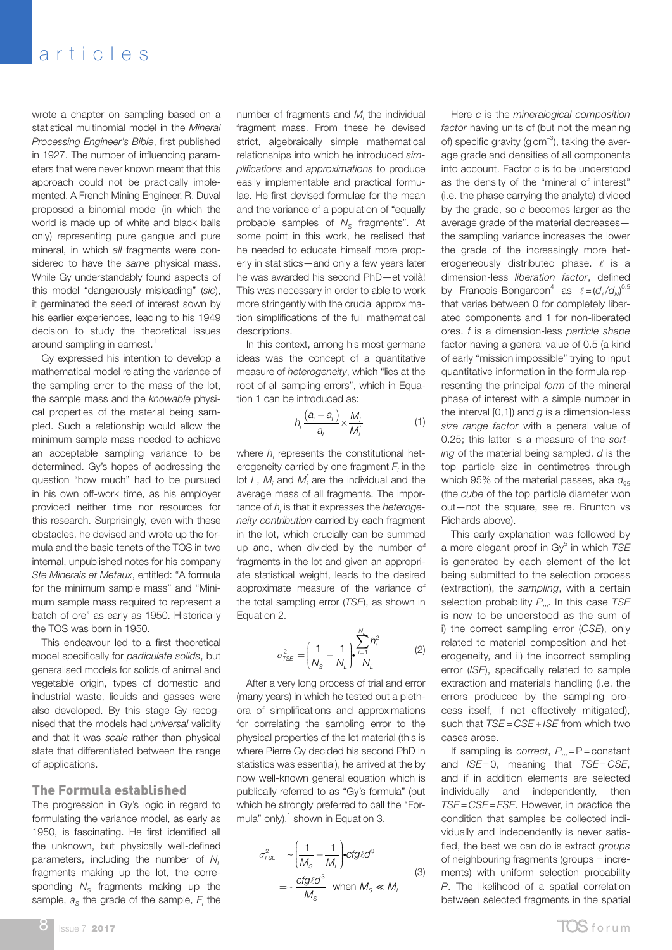wrote a chapter on sampling based on a statistical multinomial model in the *Mineral Processing Engineer's Bible*, first published in 1927. The number of influencing parameters that were never known meant that this approach could not be practically implemented. A French Mining Engineer, R. Duval proposed a binomial model (in which the world is made up of white and black balls only) representing pure gangue and pure mineral, in which *all* fragments were considered to have the *same* physical mass. While Gy understandably found aspects of this model "dangerously misleading" (*sic*), it germinated the seed of interest sown by his earlier experiences, leading to his 1949 decision to study the theoretical issues around sampling in earnest.<sup>1</sup>

Gy expressed his intention to develop a mathematical model relating the variance of the sampling error to the mass of the lot, the sample mass and the *knowable* physical properties of the material being sampled. Such a relationship would allow the minimum sample mass needed to achieve an acceptable sampling variance to be determined. Gy's hopes of addressing the question "how much" had to be pursued in his own off-work time, as his employer provided neither time nor resources for this research. Surprisingly, even with these obstacles, he devised and wrote up the formula and the basic tenets of the TOS in two internal, unpublished notes for his company *Ste Minerais et Metaux*, entitled: "A formula for the minimum sample mass" and "Minimum sample mass required to represent a batch of ore" as early as 1950. Historically the TOS was born in 1950.

This endeavour led to a first theoretical model specifically for *particulate solids*, but generalised models for solids of animal and vegetable origin, types of domestic and industrial waste, liquids and gasses were also developed. By this stage Gy recognised that the models had *universal* validity and that it was *scale* rather than physical state that differentiated between the range of applications.

#### The Formula established

The progression in Gy's logic in regard to formulating the variance model, as early as 1950, is fascinating. He first identified all the unknown, but physically well-defined parameters, including the number of *N<sub>L</sub>* fragments making up the lot, the corresponding N<sub>s</sub> fragments making up the sample,  $a_{\rm S}$  the grade of the sample,  $F_i$  the

number of fragments and  $M_i$  the individual fragment mass. From these he devised strict, algebraically simple mathematical relationships into which he introduced *simplifications* and *approximations* to produce easily implementable and practical formulae. He first devised formulae for the mean and the variance of a population of "equally probable samples of N<sub>S</sub> fragments". At some point in this work, he realised that he needed to educate himself more properly in statistics—and only a few years later he was awarded his second PhD—et voilà! This was necessary in order to able to work more stringently with the crucial approximation simplifications of the full mathematical descriptions.

In this context, among his most germane ideas was the concept of a quantitative measure of *heterogeneity*, which "lies at the root of all sampling errors", which in Equation 1 can be introduced as:

$$
h_i \frac{(a_i - a_L)}{a_L} \times \frac{M_i}{M_i^*}
$$
 (1)

where  $h_i$  represents the constitutional heterogeneity carried by one fragment  $F_i$  in the lot  $L$ ,  $M_i$  and  $M_i^*$  are the individual and the *i* average mass of all fragments. The importance of *hi* is that it expresses the *heterogeneity contribution* carried by each fragment in the lot, which crucially can be summed up and, when divided by the number of fragments in the lot and given an appropriate statistical weight, leads to the desired approximate measure of the variance of the total sampling error (*TSE*), as shown in Equation 2.

$$
\sigma_{\rm TSE}^2 = \left(\frac{1}{N_{\rm s}} - \frac{1}{N_{\rm L}}\right) \frac{\sum_{i=1}^{N_{\rm L}} h_i^2}{N_{\rm L}} \tag{2}
$$

*NL*

After a very long process of trial and error (many years) in which he tested out a plethora of simplifications and approximations for correlating the sampling error to the physical properties of the lot material (this is where Pierre Gy decided his second PhD in statistics was essential), he arrived at the by now well-known general equation which is publically referred to as "Gy's formula" (but which he strongly preferred to call the "Formula" only), $1$  shown in Equation 3.

$$
\sigma_{FSE}^2 = \left(\frac{1}{M_S} - \frac{1}{M_L}\right) c f g \ell d^3
$$
  
=  $\left(\frac{c f g \ell d^3}{M_S}\right)$  when  $M_S \ll M_L$  (3)

Here *c* is the *mineralogical composition factor* having units of (but not the meaning of) specific gravity (g  $cm^{-3}$ ), taking the average grade and densities of all components into account. Factor *c* is to be understood as the density of the "mineral of interest" (i.e. the phase carrying the analyte) divided by the grade, so *c* becomes larger as the average grade of the material decreases the sampling variance increases the lower the grade of the increasingly more heterogeneously distributed phase.  $\ell$  is a dimension-less *liberation factor*, defined by Francois-Bongarcon<sup>4</sup> as  $\ell = (d_{\ell}/d_{N})^{0.5}$ that varies between 0 for completely liberated components and 1 for non-liberated ores. *f* is a dimension-less *particle shape* factor having a general value of 0.5 (a kind of early "mission impossible" trying to input quantitative information in the formula representing the principal *form* of the mineral phase of interest with a simple number in the interval [0,1]) and *g* is a dimension-less *size range factor* with a general value of 0.25; this latter is a measure of the *sorting* of the material being sampled. *d* is the top particle size in centimetres through which 95% of the material passes, aka  $d_{95}$ (the *cube* of the top particle diameter won out—not the square, see re. Brunton vs Richards above).

This early explanation was followed by a more elegant proof in Gy<sup>5</sup> in which TSE is generated by each element of the lot being submitted to the selection process (extraction), the *sampling*, with a certain selection probability *Pm*. In this case *TSE* is now to be understood as the sum of i) the correct sampling error (*CSE*), only related to material composition and heterogeneity, and ii) the incorrect sampling error (*ISE*), specifically related to sample extraction and materials handling (i.e. the errors produced by the sampling process itself, if not effectively mitigated), such that *TSE* = *CSE* + *ISE* from which two cases arose.

If sampling is *correct*,  $P_m = P = constant$ and *ISE*=0, meaning that *TSE*= *CSE*, and if in addition elements are selected individually and independently, then *TSE*= *CSE*=*FSE*. However, in practice the condition that samples be collected individually and independently is never satisfied, the best we can do is extract *groups* of neighbouring fragments (groups = increments) with uniform selection probability *P*. The likelihood of a spatial correlation between selected fragments in the spatial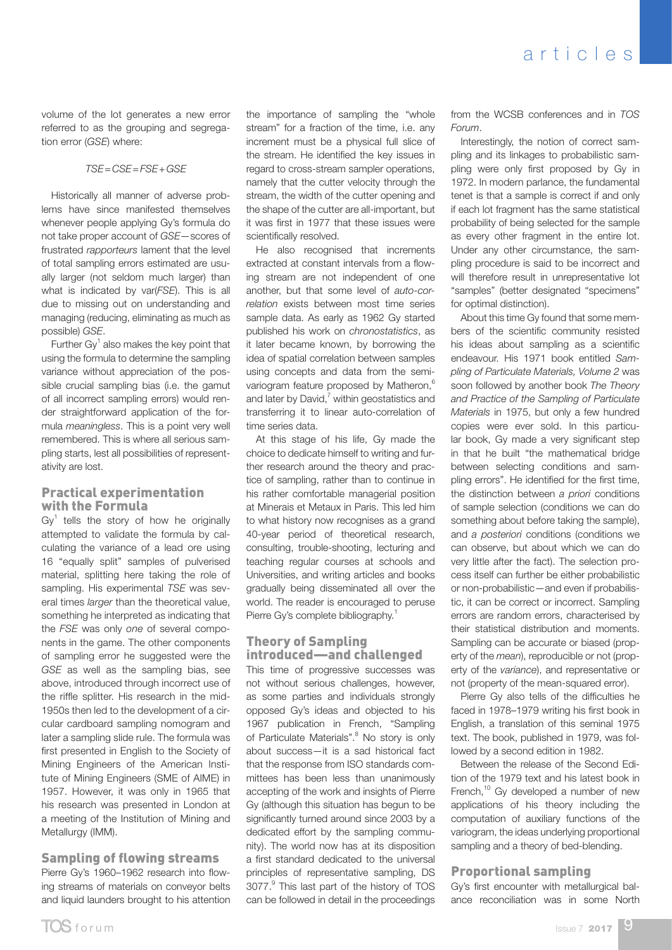volume of the lot generates a new error referred to as the grouping and segregation error (*GSE*) where:

*TSE*=*CSE*=*FSE*+*GSE*

Historically all manner of adverse problems have since manifested themselves whenever people applying Gy's formula do not take proper account of *GSE*—scores of frustrated *rapporteurs* lament that the level of total sampling errors estimated are usually larger (not seldom much larger) than what is indicated by var(*FSE*). This is all due to missing out on understanding and managing (reducing, eliminating as much as possible) *GSE*.

Further Gy $<sup>1</sup>$  also makes the key point that</sup> using the formula to determine the sampling variance without appreciation of the possible crucial sampling bias (i.e. the gamut of all incorrect sampling errors) would render straightforward application of the formula *meaningless*. This is a point very well remembered. This is where all serious sampling starts, lest all possibilities of representativity are lost.

## Practical experimentation with the Formula

 $\text{Gy}^1$  tells the story of how he originally attempted to validate the formula by calculating the variance of a lead ore using 16 "equally split" samples of pulverised material, splitting here taking the role of sampling. His experimental *TSE* was several times *larger* than the theoretical value, something he interpreted as indicating that the *FSE* was only *one* of several components in the game. The other components of sampling error he suggested were the *GSE* as well as the sampling bias, see above, introduced through incorrect use of the riffle splitter. His research in the mid-1950s then led to the development of a circular cardboard sampling nomogram and later a sampling slide rule. The formula was first presented in English to the Society of Mining Engineers of the American Institute of Mining Engineers (SME of AIME) in 1957. However, it was only in 1965 that his research was presented in London at a meeting of the Institution of Mining and Metallurgy (IMM).

### Sampling of flowing streams Pierre Gy's 1960–1962 research into flowing streams of materials on conveyor belts and liquid launders brought to his attention

the importance of sampling the "whole stream" for a fraction of the time, i.e. any increment must be a physical full slice of the stream. He identified the key issues in regard to cross-stream sampler operations, namely that the cutter velocity through the stream, the width of the cutter opening and the shape of the cutter are all-important, but it was first in 1977 that these issues were scientifically resolved.

He also recognised that increments extracted at constant intervals from a flowing stream are not independent of one another, but that some level of *auto-correlation* exists between most time series sample data. As early as 1962 Gy started published his work on *chronostatistics*, as it later became known, by borrowing the idea of spatial correlation between samples using concepts and data from the semivariogram feature proposed by Matheron,<sup>6</sup> and later by David, $^7$  within geostatistics and transferring it to linear auto-correlation of time series data.

At this stage of his life, Gy made the choice to dedicate himself to writing and further research around the theory and practice of sampling, rather than to continue in his rather comfortable managerial position at Minerais et Metaux in Paris. This led him to what history now recognises as a grand 40-year period of theoretical research, consulting, trouble-shooting, lecturing and teaching regular courses at schools and Universities, and writing articles and books gradually being disseminated all over the world. The reader is encouraged to peruse Pierre Gy's complete bibliography.<sup>1</sup>

## Theory of Sampling introduced—and challenged

This time of progressive successes was not without serious challenges, however, as some parties and individuals strongly opposed Gy's ideas and objected to his 1967 publication in French, "Sampling of Particulate Materials".<sup>8</sup> No story is only about success—it is a sad historical fact that the response from ISO standards committees has been less than unanimously accepting of the work and insights of Pierre Gy (although this situation has begun to be significantly turned around since 2003 by a dedicated effort by the sampling community). The world now has at its disposition a first standard dedicated to the universal principles of representative sampling, DS 3077.<sup>9</sup> This last part of the history of TOS can be followed in detail in the proceedings

from the WCSB conferences and in *TOS Forum*.

Interestingly, the notion of correct sampling and its linkages to probabilistic sampling were only first proposed by Gy in 1972. In modern parlance, the fundamental tenet is that a sample is correct if and only if each lot fragment has the same statistical probability of being selected for the sample as every other fragment in the entire lot. Under any other circumstance, the sampling procedure is said to be incorrect and will therefore result in unrepresentative lot "samples" (better designated "specimens" for optimal distinction).

About this time Gy found that some members of the scientific community resisted his ideas about sampling as a scientific endeavour. His 1971 book entitled *Sampling of Particulate Materials, Volume 2* was soon followed by another book *The Theory and Practice of the Sampling of Particulate Materials* in 1975, but only a few hundred copies were ever sold. In this particular book, Gy made a very significant step in that he built "the mathematical bridge between selecting conditions and sampling errors". He identified for the first time, the distinction between *a priori* conditions of sample selection (conditions we can do something about before taking the sample), and *a posteriori* conditions (conditions we can observe, but about which we can do very little after the fact). The selection process itself can further be either probabilistic or non-probabilistic—and even if probabilistic, it can be correct or incorrect. Sampling errors are random errors, characterised by their statistical distribution and moments. Sampling can be accurate or biased (property of the *mean*), reproducible or not (property of the *variance*), and representative or not (property of the mean-squared error).

Pierre Gy also tells of the difficulties he faced in 1978–1979 writing his first book in English, a translation of this seminal 1975 text. The book, published in 1979, was followed by a second edition in 1982.

Between the release of the Second Edition of the 1979 text and his latest book in French,<sup>10</sup> Gy developed a number of new applications of his theory including the computation of auxiliary functions of the variogram, the ideas underlying proportional sampling and a theory of bed-blending.

## Proportional sampling

Gy's first encounter with metallurgical balance reconciliation was in some North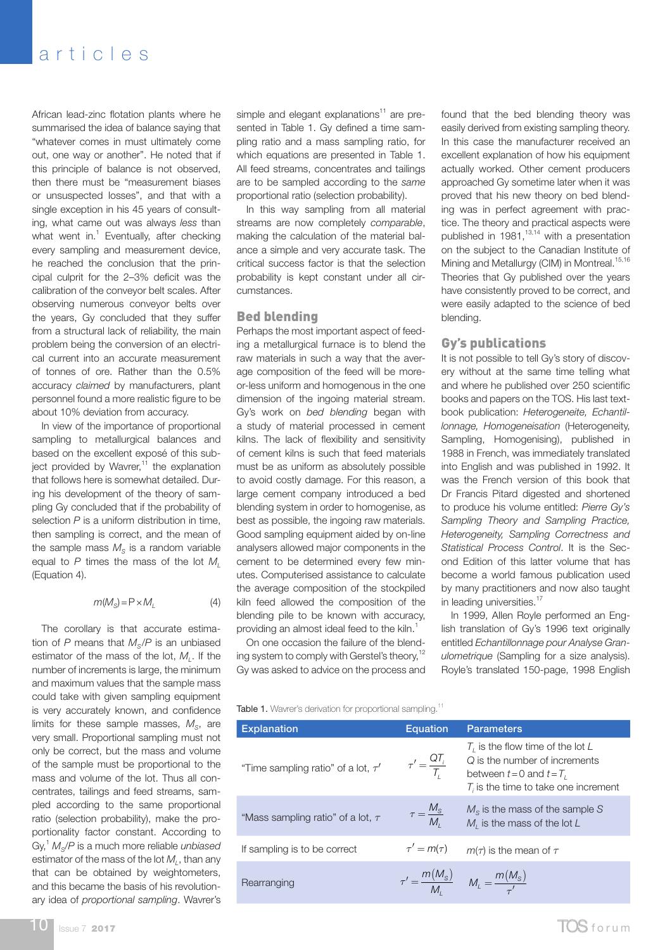African lead-zinc flotation plants where he summarised the idea of balance saying that "whatever comes in must ultimately come out, one way or another". He noted that if this principle of balance is not observed, then there must be "measurement biases or unsuspected losses", and that with a single exception in his 45 years of consulting, what came out was always *less* than what went in. $1$  Eventually, after checking every sampling and measurement device, he reached the conclusion that the principal culprit for the 2–3% deficit was the calibration of the conveyor belt scales. After observing numerous conveyor belts over the years, Gy concluded that they suffer from a structural lack of reliability, the main problem being the conversion of an electrical current into an accurate measurement of tonnes of ore. Rather than the 0.5% accuracy *claimed* by manufacturers, plant personnel found a more realistic figure to be about 10% deviation from accuracy.

In view of the importance of proportional sampling to metallurgical balances and based on the excellent exposé of this subject provided by Wavrer, $11$  the explanation that follows here is somewhat detailed. During his development of the theory of sampling Gy concluded that if the probability of selection *P* is a uniform distribution in time, then sampling is correct, and the mean of the sample mass  $M<sub>s</sub>$  is a random variable equal to  $P$  times the mass of the lot  $M_l$ (Equation 4).

$$
m(M_{\rm S}) = P \times M_{\rm L} \tag{4}
$$

The corollary is that accurate estimation of  $P$  means that  $M_{\rm c}/P$  is an unbiased estimator of the mass of the lot, M<sub>L</sub>. If the number of increments is large, the minimum and maximum values that the sample mass could take with given sampling equipment is very accurately known, and confidence limits for these sample masses,  $M<sub>g</sub>$ , are very small. Proportional sampling must not only be correct, but the mass and volume of the sample must be proportional to the mass and volume of the lot. Thus all concentrates, tailings and feed streams, sampled according to the same proportional ratio (selection probability), make the proportionality factor constant. According to Gy,<sup>1</sup> *M*<sub>s</sub>/*P* is a much more reliable *unbiased* estimator of the mass of the lot M<sub>1</sub>, than any that can be obtained by weightometers, and this became the basis of his revolutionary idea of *proportional sampling*. Wavrer's

simple and elegant explanations<sup>11</sup> are presented in Table 1. Gy defined a time sampling ratio and a mass sampling ratio, for which equations are presented in Table 1. All feed streams, concentrates and tailings are to be sampled according to the *same* proportional ratio (selection probability).

In this way sampling from all material streams are now completely *comparable*, making the calculation of the material balance a simple and very accurate task. The critical success factor is that the selection probability is kept constant under all circumstances.

#### Bed blending

Perhaps the most important aspect of feeding a metallurgical furnace is to blend the raw materials in such a way that the average composition of the feed will be moreor-less uniform and homogenous in the one dimension of the ingoing material stream. Gy's work on *bed blending* began with a study of material processed in cement kilns. The lack of flexibility and sensitivity of cement kilns is such that feed materials must be as uniform as absolutely possible to avoid costly damage. For this reason, a large cement company introduced a bed blending system in order to homogenise, as best as possible, the ingoing raw materials. Good sampling equipment aided by on-line analysers allowed major components in the cement to be determined every few minutes. Computerised assistance to calculate the average composition of the stockpiled kiln feed allowed the composition of the blending pile to be known with accuracy, providing an almost ideal feed to the kiln.<sup>1</sup>

On one occasion the failure of the blending system to comply with Gerstel's theory,  $12$ Gy was asked to advice on the process and

found that the bed blending theory was easily derived from existing sampling theory. In this case the manufacturer received an excellent explanation of how his equipment actually worked. Other cement producers approached Gy sometime later when it was proved that his new theory on bed blending was in perfect agreement with practice. The theory and practical aspects were published in 1981, $13,14$  with a presentation on the subject to the Canadian Institute of Mining and Metallurgy (CIM) in Montreal.<sup>15,16</sup> Theories that Gy published over the years have consistently proved to be correct, and were easily adapted to the science of bed blending.

#### Gy's publications

It is not possible to tell Gy's story of discovery without at the same time telling what and where he published over 250 scientific books and papers on the TOS. His last textbook publication: *Heterogeneite, Echantillonnage, Homogeneisation* (Heterogeneity, Sampling, Homogenising), published in 1988 in French, was immediately translated into English and was published in 1992. It was the French version of this book that Dr Francis Pitard digested and shortened to produce his volume entitled: *Pierre Gy's Sampling Theory and Sampling Practice, Heterogeneity, Sampling Correctness and Statistical Process Control*. It is the Second Edition of this latter volume that has become a world famous publication used by many practitioners and now also taught in leading universities.<sup>17</sup>

In 1999, Allen Royle performed an English translation of Gy's 1996 text originally entitled *Echantillonnage pour Analyse Granulometrique* (Sampling for a size analysis). Royle's translated 150-page, 1998 English

Table 1. Wavrer's derivation for proportional sampling.<sup>11</sup>

| <b>Explanation</b>                      | <b>Equation</b>                      | <b>Parameters</b>                                                                                                                            |
|-----------------------------------------|--------------------------------------|----------------------------------------------------------------------------------------------------------------------------------------------|
| "Time sampling ratio" of a lot, $\tau'$ | $\tau' = \frac{QT_i}{T_i}$           | $T_i$ is the flow time of the lot L<br>Q is the number of increments<br>between $t=0$ and $t=T$ ,<br>$T_i$ is the time to take one increment |
| "Mass sampling ratio" of a lot, $\tau$  | $\tau = \frac{M_{\rm S}}{M_{\rm s}}$ | $M_s$ is the mass of the sample S<br>$M1$ is the mass of the lot $L$                                                                         |
| If sampling is to be correct            | $\tau' = m(\tau)$                    | $m(\tau)$ is the mean of $\tau$                                                                                                              |
| Rearranging                             |                                      | $\tau' = \frac{m(M_s)}{M}$ $M_L = \frac{m(M_s)}{\tau'}$                                                                                      |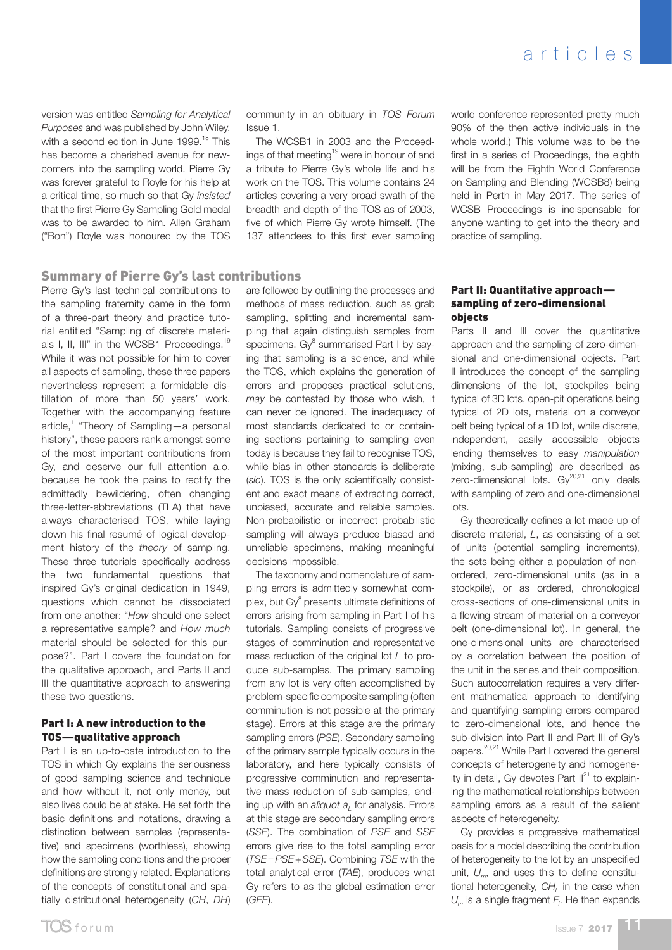version was entitled *Sampling for Analytical Purposes* and was published by John Wiley, with a second edition in June 1999.<sup>18</sup> This has become a cherished avenue for newcomers into the sampling world. Pierre Gy was forever grateful to Royle for his help at a critical time, so much so that Gy *insisted* that the first Pierre Gy Sampling Gold medal was to be awarded to him. Allen Graham ("Bon") Royle was honoured by the TOS

## Summary of Pierre Gy's last contributions

Pierre Gy's last technical contributions to the sampling fraternity came in the form of a three-part theory and practice tutorial entitled "Sampling of discrete materials I, II, III" in the WCSB1 Proceedings.<sup>19</sup> While it was not possible for him to cover all aspects of sampling, these three papers nevertheless represent a formidable distillation of more than 50 years' work. Together with the accompanying feature article,<sup>1</sup> "Theory of Sampling—a personal history", these papers rank amongst some of the most important contributions from Gy, and deserve our full attention a.o. because he took the pains to rectify the admittedly bewildering, often changing three-letter-abbreviations (TLA) that have always characterised TOS, while laying down his final resumé of logical development history of the *theory* of sampling. These three tutorials specifically address the two fundamental questions that inspired Gy's original dedication in 1949, questions which cannot be dissociated from one another: "*How* should one select a representative sample? and *How much* material should be selected for this purpose?". Part I covers the foundation for the qualitative approach, and Parts II and III the quantitative approach to answering these two questions.

#### Part I: A new introduction to the TOS—qualitative approach

Part I is an up-to-date introduction to the TOS in which Gy explains the seriousness of good sampling science and technique and how without it, not only money, but also lives could be at stake. He set forth the basic definitions and notations, drawing a distinction between samples (representative) and specimens (worthless), showing how the sampling conditions and the proper definitions are strongly related. Explanations of the concepts of constitutional and spatially distributional heterogeneity (*CH*, *DH*)

community in an obituary in *TOS Forum* Issue 1.

The WCSB1 in 2003 and the Proceedings of that meeting<sup>19</sup> were in honour of and a tribute to Pierre Gy's whole life and his work on the TOS. This volume contains 24 articles covering a very broad swath of the breadth and depth of the TOS as of 2003, five of which Pierre Gy wrote himself. (The 137 attendees to this first ever sampling world conference represented pretty much 90% of the then active individuals in the whole world.) This volume was to be the first in a series of Proceedings, the eighth will be from the Eighth World Conference on Sampling and Blending (WCSB8) being held in Perth in May 2017. The series of WCSB Proceedings is indispensable for anyone wanting to get into the theory and practice of sampling.

are followed by outlining the processes and methods of mass reduction, such as grab sampling, splitting and incremental sampling that again distinguish samples from specimens. Gy<sup>8</sup> summarised Part I by saying that sampling is a science, and while the TOS, which explains the generation of errors and proposes practical solutions, *may* be contested by those who wish, it can never be ignored. The inadequacy of most standards dedicated to or containing sections pertaining to sampling even today is because they fail to recognise TOS, while bias in other standards is deliberate (*sic*). TOS is the only scientifically consistent and exact means of extracting correct, unbiased, accurate and reliable samples. Non-probabilistic or incorrect probabilistic sampling will always produce biased and unreliable specimens, making meaningful decisions impossible.

The taxonomy and nomenclature of sampling errors is admittedly somewhat complex, but Gy<sup>8</sup> presents ultimate definitions of errors arising from sampling in Part I of his tutorials. Sampling consists of progressive stages of comminution and representative mass reduction of the original lot *L* to produce sub-samples. The primary sampling from any lot is very often accomplished by problem-specific composite sampling (often comminution is not possible at the primary stage). Errors at this stage are the primary sampling errors (*PSE*). Secondary sampling of the primary sample typically occurs in the laboratory, and here typically consists of progressive comminution and representative mass reduction of sub-samples, ending up with an *aliquot*  $a<sub>i</sub>$  for analysis. Errors at this stage are secondary sampling errors (*SSE*). The combination of *PSE* and *SSE* errors give rise to the total sampling error (*TSE*=*PSE*+*SSE*). Combining *TSE* with the total analytical error (*TAE*), produces what Gy refers to as the global estimation error (*GEE*).

#### Part II: Quantitative approach sampling of zero-dimensional objects

Parts II and III cover the quantitative approach and the sampling of zero-dimensional and one-dimensional objects. Part II introduces the concept of the sampling dimensions of the lot, stockpiles being typical of 3D lots, open-pit operations being typical of 2D lots, material on a conveyor belt being typical of a 1D lot, while discrete, independent, easily accessible objects lending themselves to easy *manipulation* (mixing, sub-sampling) are described as zero-dimensional lots.  $\text{Gy}^{20,21}$  only deals with sampling of zero and one-dimensional lots.

Gy theoretically defines a lot made up of discrete material, *L*, as consisting of a set of units (potential sampling increments), the sets being either a population of nonordered, zero-dimensional units (as in a stockpile), or as ordered, chronological cross-sections of one-dimensional units in a flowing stream of material on a conveyor belt (one-dimensional lot). In general, the one-dimensional units are characterised by a correlation between the position of the unit in the series and their composition. Such autocorrelation requires a very different mathematical approach to identifying and quantifying sampling errors compared to zero-dimensional lots, and hence the sub-division into Part II and Part III of Gy's papers.20,21 While Part I covered the general concepts of heterogeneity and homogeneity in detail, Gy devotes Part II<sup>21</sup> to explaining the mathematical relationships between sampling errors as a result of the salient aspects of heterogeneity.

Gy provides a progressive mathematical basis for a model describing the contribution of heterogeneity to the lot by an unspecified unit,  $U_m$ , and uses this to define constitutional heterogeneity, CH, in the case when  $U_m$  is a single fragment  $F_i$ . He then expands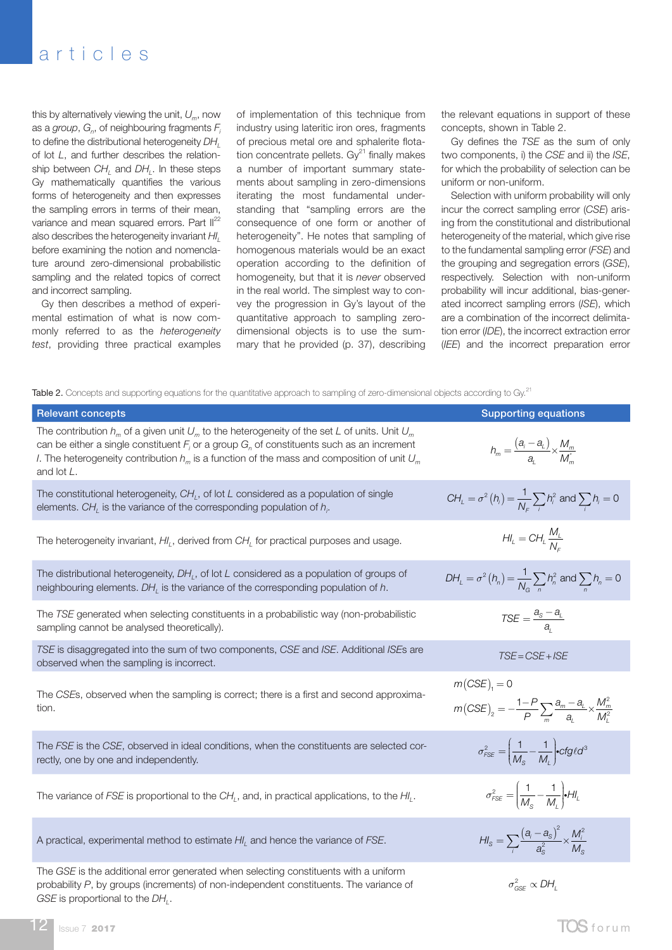this by alternatively viewing the unit, *Um*, now as a *group*,  $G_n$ , of neighbouring fragments  $F_i$ to define the distributional heterogeneity  $DH$ <sub>1</sub> of lot *L*, and further describes the relationship between *CH*<sub>1</sub> and *DH*<sub>1</sub>. In these steps Gy mathematically quantifies the various forms of heterogeneity and then expresses the sampling errors in terms of their mean, variance and mean squared errors. Part  $II^{22}$ also describes the heterogeneity invariant *HIL* before examining the notion and nomenclature around zero-dimensional probabilistic sampling and the related topics of correct and incorrect sampling.

Gy then describes a method of experimental estimation of what is now commonly referred to as the *heterogeneity test*, providing three practical examples

of implementation of this technique from industry using lateritic iron ores, fragments of precious metal ore and sphalerite flotation concentrate pellets.  $\text{Gy}^{21}$  finally makes a number of important summary statements about sampling in zero-dimensions iterating the most fundamental understanding that "sampling errors are the consequence of one form or another of heterogeneity". He notes that sampling of homogenous materials would be an exact operation according to the definition of homogeneity, but that it is *never* observed in the real world. The simplest way to convey the progression in Gy's layout of the quantitative approach to sampling zerodimensional objects is to use the summary that he provided (p. 37), describing the relevant equations in support of these concepts, shown in Table 2.

Gy defines the *TSE* as the sum of only two components, i) the *CSE* and ii) the *ISE*, for which the probability of selection can be uniform or non-uniform.

Selection with uniform probability will only incur the correct sampling error (*CSE*) arising from the constitutional and distributional heterogeneity of the material, which give rise to the fundamental sampling error (*FSE*) and the grouping and segregation errors (*GSE*), respectively. Selection with non-uniform probability will incur additional, bias-generated incorrect sampling errors (*ISE*), which are a combination of the incorrect delimitation error (*IDE*), the incorrect extraction error (*IEE*) and the incorrect preparation error

Table 2. Concepts and supporting equations for the quantitative approach to sampling of zero-dimensional objects according to Gy.<sup>21</sup>

| <b>Relevant concepts</b>                                                                                                                                                                                                                                                                                                       | <b>Supporting equations</b>                                                                                           |
|--------------------------------------------------------------------------------------------------------------------------------------------------------------------------------------------------------------------------------------------------------------------------------------------------------------------------------|-----------------------------------------------------------------------------------------------------------------------|
| The contribution $h_m$ of a given unit $U_m$ to the heterogeneity of the set L of units. Unit $U_m$<br>can be either a single constituent $F_i$ or a group $G_n$ of constituents such as an increment<br><i>I</i> . The heterogeneity contribution $h_m$ is a function of the mass and composition of unit $U_m$<br>and lot L. | $h_m = \frac{(a_i - a_l)}{a_l} \times \frac{M_m}{M_m^*}$                                                              |
| The constitutional heterogeneity, $CH1$ , of lot L considered as a population of single<br>elements. $CH_{L}$ is the variance of the corresponding population of $h_{i}$ .                                                                                                                                                     | $CH_{L} = \sigma^{2}(h_{i}) = \frac{1}{N_{c}}\sum_{i}h_{i}^{2}$ and $\sum_{i}h_{i} = 0$                               |
| The heterogeneity invariant, $H_l$ , derived from $CH_l$ for practical purposes and usage.                                                                                                                                                                                                                                     | $H_{\iota} = CH_{\iota} \frac{M_{\iota}}{N_{\iota}}$                                                                  |
| The distributional heterogeneity, $DH1$ , of lot L considered as a population of groups of<br>neighbouring elements. $DH1$ is the variance of the corresponding population of $h$ .                                                                                                                                            | $DH_L = \sigma^2(h_n) = \frac{1}{N_c} \sum_{n} h_n^2$ and $\sum_{n} h_n = 0$                                          |
| The TSE generated when selecting constituents in a probabilistic way (non-probabilistic<br>sampling cannot be analysed theoretically).                                                                                                                                                                                         | $\mathsf{TSE} = \frac{a_{\rm S} - a_{\rm L}}{a_{\rm L}}$                                                              |
| TSE is disaggregated into the sum of two components, CSE and ISE. Additional ISEs are<br>observed when the sampling is incorrect.                                                                                                                                                                                              | $TSE = CSE + ISE$                                                                                                     |
| The CSEs, observed when the sampling is correct; there is a first and second approxima-<br>tion.                                                                                                                                                                                                                               | $m(CSE)_{1} = 0$<br>$m(CSE)_{2} = -\frac{1-P}{P}\sum_{m}\frac{a_{m}-a_{L}}{a_{L}} \times \frac{M_{m}^{2}}{M_{L}^{2}}$ |
| The FSE is the CSE, observed in ideal conditions, when the constituents are selected cor-<br>rectly, one by one and independently.                                                                                                                                                                                             | $\sigma_{\text{FSE}}^2 = \left(\frac{1}{M_{\text{S}}} - \frac{1}{M_{\text{l}}}\right) \cdot \text{cfg} \ell d^3$      |
| The variance of FSE is proportional to the CH,, and, in practical applications, to the HI,.                                                                                                                                                                                                                                    | $\sigma_{\text{FSE}}^2 = \left(\frac{1}{M_{\text{s}}} - \frac{1}{M_{\text{l}}}\right) \bullet H_{\text{l}}$           |
| A practical, experimental method to estimate $H_I$ , and hence the variance of $FSE$ .                                                                                                                                                                                                                                         | $H I_{\rm s} = \sum_i \frac{(a_i - a_{\rm s})^2}{a_{\rm s}^2} \times \frac{M_i^2}{M_{\rm s}}$                         |
| The GSE is the additional error generated when selecting constituents with a uniform<br>probability P, by groups (increments) of non-independent constituents. The variance of<br>GSE is proportional to the DH.                                                                                                               | $\sigma_{csc}^2 \propto DH$                                                                                           |

 $12$  Issue 7 2017 **TOS** for um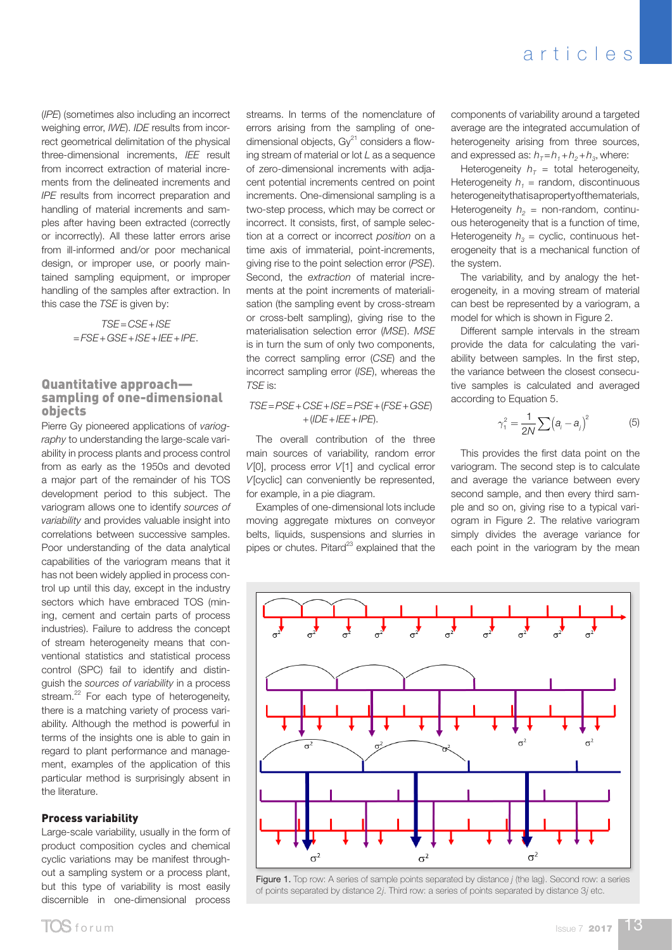(*IPE*) (sometimes also including an incorrect weighing error, *IWE*). *IDE* results from incorrect geometrical delimitation of the physical three-dimensional increments, *IEE* result from incorrect extraction of material increments from the delineated increments and *IPE* results from incorrect preparation and handling of material increments and samples after having been extracted (correctly or incorrectly). All these latter errors arise from ill-informed and/or poor mechanical design, or improper use, or poorly maintained sampling equipment, or improper handling of the samples after extraction. In this case the *TSE* is given by:

> *TSE*=*CSE*+*ISE* =*FSE*+*GSE*+*ISE*+*IEE*+*IPE*.

#### Quantitative approach sampling of one-dimensional objects

Pierre Gy pioneered applications of *variography* to understanding the large-scale variability in process plants and process control from as early as the 1950s and devoted a major part of the remainder of his TOS development period to this subject. The variogram allows one to identify *sources of variability* and provides valuable insight into correlations between successive samples. Poor understanding of the data analytical capabilities of the variogram means that it has not been widely applied in process control up until this day, except in the industry sectors which have embraced TOS (mining, cement and certain parts of process industries). Failure to address the concept of stream heterogeneity means that conventional statistics and statistical process control (SPC) fail to identify and distinguish the *sources of variability* in a process stream.<sup>22</sup> For each type of heterogeneity, there is a matching variety of process variability. Although the method is powerful in terms of the insights one is able to gain in regard to plant performance and management, examples of the application of this particular method is surprisingly absent in the literature.

#### Process variability

Large-scale variability, usually in the form of product composition cycles and chemical cyclic variations may be manifest throughout a sampling system or a process plant, but this type of variability is most easily discernible in one-dimensional process

streams. In terms of the nomenclature of errors arising from the sampling of onedimensional objects,  $\text{Gy}^{21}$  considers a flowing stream of material or lot *L* as a sequence of zero-dimensional increments with adjacent potential increments centred on point increments. One-dimensional sampling is a two-step process, which may be correct or incorrect. It consists, first, of sample selection at a correct or incorrect *position* on a time axis of immaterial, point-increments, giving rise to the point selection error (*PSE*). Second, the *extraction* of material increments at the point increments of materialisation (the sampling event by cross-stream or cross-belt sampling), giving rise to the materialisation selection error (*MSE*). *MSE* is in turn the sum of only two components, the correct sampling error (*CSE*) and the incorrect sampling error (*ISE*), whereas the *TSE* is:

*TSE*=*PSE*+*CSE*+*ISE*=*PSE*+(*FSE*+*GSE*) +(*IDE*+*IEE*+*IPE*).

The overall contribution of the three main sources of variability, random error *V*[0], process error *V*[1] and cyclical error *V*[cyclic] can conveniently be represented, for example, in a pie diagram.

Examples of one-dimensional lots include moving aggregate mixtures on conveyor belts, liquids, suspensions and slurries in pipes or chutes. Pitard $^{23}$  explained that the

components of variability around a targeted average are the integrated accumulation of heterogeneity arising from three sources, and expressed as:  $h_{\tau} = h_1 + h_2 + h_3$ , where:

Heterogeneity  $h<sub>T</sub>$  = total heterogeneity, Heterogeneity  $h_1$  = random, discontinuous heterogeneity that is a property of the materials, Heterogeneity  $h_2$  = non-random, continuous heterogeneity that is a function of time, Heterogeneity  $h_3$  = cyclic, continuous heterogeneity that is a mechanical function of the system.

The variability, and by analogy the heterogeneity, in a moving stream of material can best be represented by a variogram, a model for which is shown in Figure 2.

Different sample intervals in the stream provide the data for calculating the variability between samples. In the first step, the variance between the closest consecutive samples is calculated and averaged according to Equation 5.

$$
\gamma_1^2 = \frac{1}{2N} \sum \left( a_i - a_j \right)^2 \tag{5}
$$

This provides the first data point on the variogram. The second step is to calculate and average the variance between every second sample, and then every third sample and so on, giving rise to a typical variogram in Figure 2. The relative variogram simply divides the average variance for each point in the variogram by the mean



Figure 1. Top row: A series of sample points separated by distance *j* (the lag). Second row: a series of points separated by distance 2*j*. Third row: a series of points separated by distance 3*j* etc.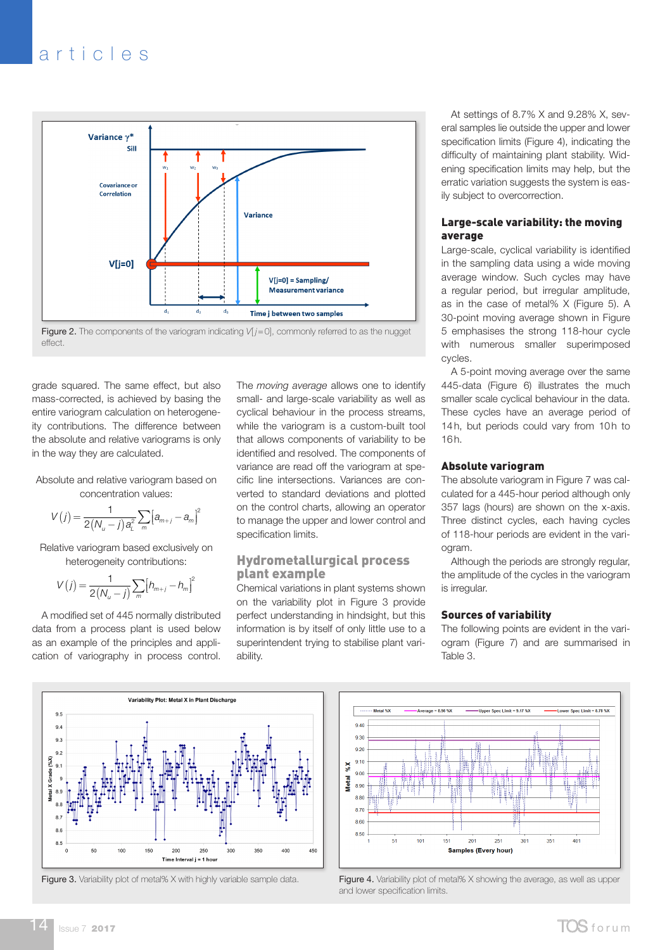

**Figure 2.** The components of the variogram indicating  $V[j=0]$ , commonly referred to as the nugget effect.

grade squared. The same effect, but also mass-corrected, is achieved by basing the entire variogram calculation on heterogeneity contributions. The difference between the absolute and relative variograms is only in the way they are calculated.

Absolute and relative variogram based on concentration values:

$$
V(j) = \frac{1}{2(N_u - j) a_L^2} \sum_m [a_{m+j} - a_m]^2
$$

Relative variogram based exclusively on heterogeneity contributions:

$$
V(j) = \frac{1}{2(N_u - j)} \sum_{m} [h_{m+j} - h_m]^2
$$

A modified set of 445 normally distributed data from a process plant is used below as an example of the principles and application of variography in process control.

The *moving average* allows one to identify small- and large-scale variability as well as cyclical behaviour in the process streams, while the variogram is a custom-built tool that allows components of variability to be identified and resolved. The components of variance are read off the variogram at specific line intersections. Variances are converted to standard deviations and plotted on the control charts, allowing an operator to manage the upper and lower control and specification limits.

### Hydrometallurgical process plant example

Chemical variations in plant systems shown on the variability plot in Figure 3 provide perfect understanding in hindsight, but this information is by itself of only little use to a superintendent trying to stabilise plant variability.

At settings of 8.7% X and 9.28% X, several samples lie outside the upper and lower specification limits (Figure 4), indicating the difficulty of maintaining plant stability. Widening specification limits may help, but the erratic variation suggests the system is easily subject to overcorrection.

#### Large-scale variability: the moving average

Large-scale, cyclical variability is identified in the sampling data using a wide moving average window. Such cycles may have a regular period, but irregular amplitude, as in the case of metal% X (Figure 5). A 30-point moving average shown in Figure 5 emphasises the strong 118-hour cycle with numerous smaller superimposed cycles.

A 5-point moving average over the same 445-data (Figure 6) illustrates the much smaller scale cyclical behaviour in the data. These cycles have an average period of 14h, but periods could vary from 10h to 16h.

#### Absolute variogram

The absolute variogram in Figure 7 was calculated for a 445-hour period although only 357 lags (hours) are shown on the x-axis. Three distinct cycles, each having cycles of 118-hour periods are evident in the variogram.

Although the periods are strongly regular, the amplitude of the cycles in the variogram is irregular.

#### Sources of variability

The following points are evident in the variogram (Figure 7) and are summarised in Table 3.





Figure 3. Variability plot of metal% X with highly variable sample data. Figure 4. Variability plot of metal% X showing the average, as well as upper and lower specification limits.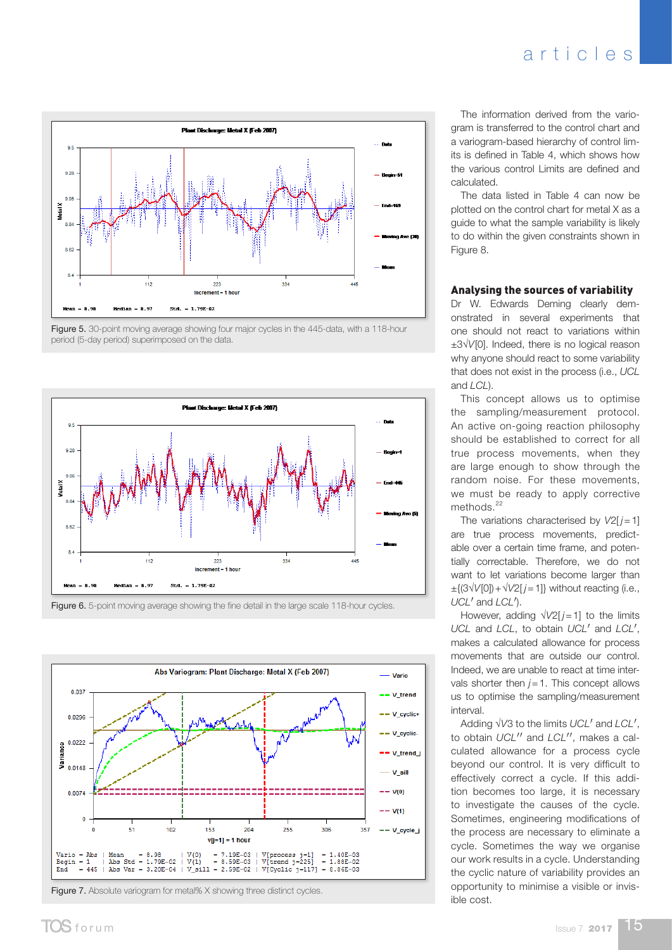

Figure 5. 30-point moving average showing four major cycles in the 445-data, with a 118-hour period (5-day period) superimposed on the data.



Figure 6. 5-point moving average showing the fine detail in the large scale 118-hour cycles.



Figure 7. Absolute variogram for metal% X showing three distinct cycles.

The information derived from the variogram is transferred to the control chart and a variogram-based hierarchy of control limits is defined in Table 4, which shows how the various control Limits are defined and calculated.

The data listed in Table 4 can now be plotted on the control chart for metal X as a guide to what the sample variability is likely to do within the given constraints shown in Figure 8.

#### Analysing the sources of variability

Dr W. Edwards Deming clearly demonstrated in several experiments that one should not react to variations within ±3√*V*[0]. Indeed, there is no logical reason why anyone should react to some variability that does not exist in the process (i.e., *UCL* and *LCL*).

This concept allows us to optimise the sampling/measurement protocol. An active on-going reaction philosophy should be established to correct for all true process movements, when they are large enough to show through the random noise. For these movements, we must be ready to apply corrective methods.<sup>22</sup>

The variations characterised by  $V2[j=1]$ are true process movements, predictable over a certain time frame, and potentially correctable. Therefore, we do not want to let variations become larger than ±{(3√*V*[0])+√*V*2[ *j*=1]} without reacting (i.e., *UCL'* and *LCL'*).

However, adding  $\sqrt{V^2}$  *j* = 1] to the limits *UCL* and *LCL*, to obtain *UCL*¢ and *LCL*¢, makes a calculated allowance for process movements that are outside our control. Indeed, we are unable to react at time intervals shorter then  $j = 1$ . This concept allows us to optimise the sampling/measurement interval.

Adding √*V*3 to the limits *UCL*¢ and *LCL*¢, to obtain *UCL<sup>11</sup>* and *LCL<sup>11</sup>*, makes a calculated allowance for a process cycle beyond our control. It is very difficult to effectively correct a cycle. If this addition becomes too large, it is necessary to investigate the causes of the cycle. Sometimes, engineering modifications of the process are necessary to eliminate a cycle. Sometimes the way we organise our work results in a cycle. Understanding the cyclic nature of variability provides an opportunity to minimise a visible or invisible cost.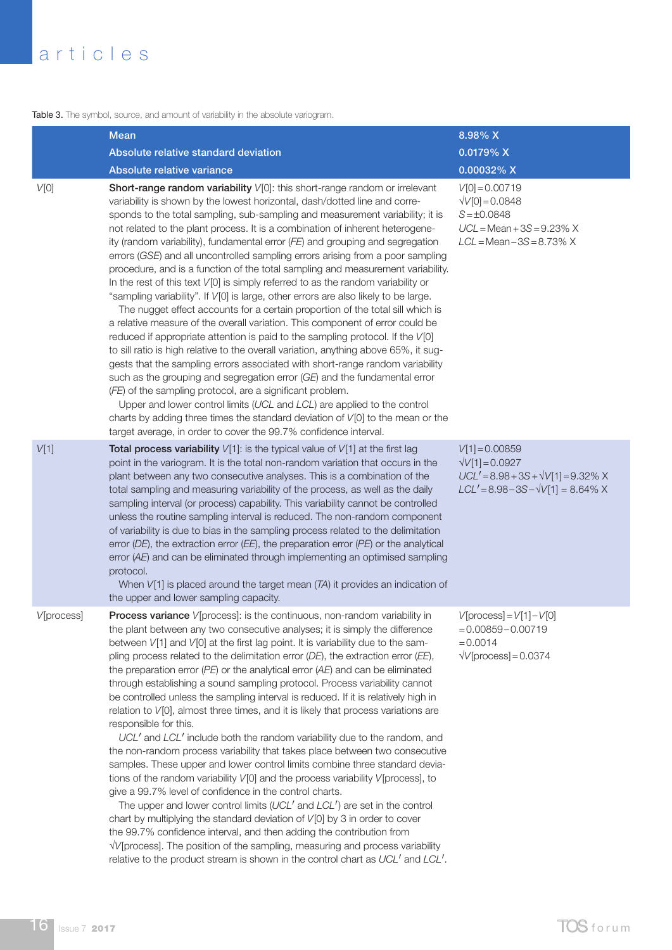Table 3. The symbol, source, and amount of variability in the absolute variogram.

|            | <b>Mean</b>                                                                                                                                                                                                                                                                                                                                                                                                                                                                                                                                                                                                                                                                                                                                                                                                                                                                                                                                                                                                                                                                                                                                                                                                                                                                                                                                                                                                                                                                                                                                                          | 8.98% X                                                                                                                                  |
|------------|----------------------------------------------------------------------------------------------------------------------------------------------------------------------------------------------------------------------------------------------------------------------------------------------------------------------------------------------------------------------------------------------------------------------------------------------------------------------------------------------------------------------------------------------------------------------------------------------------------------------------------------------------------------------------------------------------------------------------------------------------------------------------------------------------------------------------------------------------------------------------------------------------------------------------------------------------------------------------------------------------------------------------------------------------------------------------------------------------------------------------------------------------------------------------------------------------------------------------------------------------------------------------------------------------------------------------------------------------------------------------------------------------------------------------------------------------------------------------------------------------------------------------------------------------------------------|------------------------------------------------------------------------------------------------------------------------------------------|
|            | Absolute relative standard deviation                                                                                                                                                                                                                                                                                                                                                                                                                                                                                                                                                                                                                                                                                                                                                                                                                                                                                                                                                                                                                                                                                                                                                                                                                                                                                                                                                                                                                                                                                                                                 | 0.0179% X                                                                                                                                |
|            | Absolute relative variance                                                                                                                                                                                                                                                                                                                                                                                                                                                                                                                                                                                                                                                                                                                                                                                                                                                                                                                                                                                                                                                                                                                                                                                                                                                                                                                                                                                                                                                                                                                                           | 0.00032% X                                                                                                                               |
| V[0]       | Short-range random variability V[0]: this short-range random or irrelevant<br>variability is shown by the lowest horizontal, dash/dotted line and corre-<br>sponds to the total sampling, sub-sampling and measurement variability; it is<br>not related to the plant process. It is a combination of inherent heterogene-<br>ity (random variability), fundamental error (FE) and grouping and segregation<br>errors (GSE) and all uncontrolled sampling errors arising from a poor sampling<br>procedure, and is a function of the total sampling and measurement variability.<br>In the rest of this text V[0] is simply referred to as the random variability or<br>"sampling variability". If V[0] is large, other errors are also likely to be large.<br>The nugget effect accounts for a certain proportion of the total sill which is<br>a relative measure of the overall variation. This component of error could be<br>reduced if appropriate attention is paid to the sampling protocol. If the V[0]<br>to sill ratio is high relative to the overall variation, anything above 65%, it sug-<br>gests that the sampling errors associated with short-range random variability<br>such as the grouping and segregation error (GE) and the fundamental error<br>(FE) of the sampling protocol, are a significant problem.<br>Upper and lower control limits (UCL and LCL) are applied to the control<br>charts by adding three times the standard deviation of V[0] to the mean or the<br>target average, in order to cover the 99.7% confidence interval. | $V[0] = 0.00719$<br>$\sqrt{V[0]} = 0.0848$<br>$S = \pm 0.0848$<br>$UCL = Mean + 3S = 9.23\% X$<br>$LCL = Mean - 3S = 8.73\% X$           |
| V[1]       | Total process variability $V[1]$ : is the typical value of $V[1]$ at the first lag<br>point in the variogram. It is the total non-random variation that occurs in the<br>plant between any two consecutive analyses. This is a combination of the<br>total sampling and measuring variability of the process, as well as the daily<br>sampling interval (or process) capability. This variability cannot be controlled<br>unless the routine sampling interval is reduced. The non-random component<br>of variability is due to bias in the sampling process related to the delimitation<br>error (DE), the extraction error (EE), the preparation error (PE) or the analytical<br>error (AE) and can be eliminated through implementing an optimised sampling<br>protocol.<br>When $V[1]$ is placed around the target mean $(TA)$ it provides an indication of<br>the upper and lower sampling capacity.                                                                                                                                                                                                                                                                                                                                                                                                                                                                                                                                                                                                                                                            | $V[1] = 0.00859$<br>$\sqrt{V[1]} = 0.0927$<br>$UCL' = 8.98 + 3S + \sqrt{V[1]} = 9.32\%$ X<br>$LCL' = 8.98 - 3S - \sqrt{V[1]} = 8.64\%$ X |
| V[process] | Process variance V[process]: is the continuous, non-random variability in<br>the plant between any two consecutive analyses; it is simply the difference<br>between V[1] and V[0] at the first lag point. It is variability due to the sam-<br>pling process related to the delimitation error (DE), the extraction error (EE),<br>the preparation error $(PE)$ or the analytical error $(AE)$ and can be eliminated<br>through establishing a sound sampling protocol. Process variability cannot<br>be controlled unless the sampling interval is reduced. If it is relatively high in<br>relation to V[0], almost three times, and it is likely that process variations are<br>responsible for this.<br>UCL' and LCL' include both the random variability due to the random, and<br>the non-random process variability that takes place between two consecutive<br>samples. These upper and lower control limits combine three standard devia-<br>tions of the random variability V[0] and the process variability V[process], to<br>give a 99.7% level of confidence in the control charts.<br>The upper and lower control limits (UCL' and LCL') are set in the control<br>chart by multiplying the standard deviation of V[0] by 3 in order to cover<br>the 99.7% confidence interval, and then adding the contribution from<br>V/[process]. The position of the sampling, measuring and process variability<br>relative to the product stream is shown in the control chart as UCL' and LCL'.                                                                 | $V[process] = V[1]-V[0]$<br>$= 0.00859 - 0.00719$<br>$= 0.0014$<br>$\sqrt{V}$ [process] = 0.0374                                         |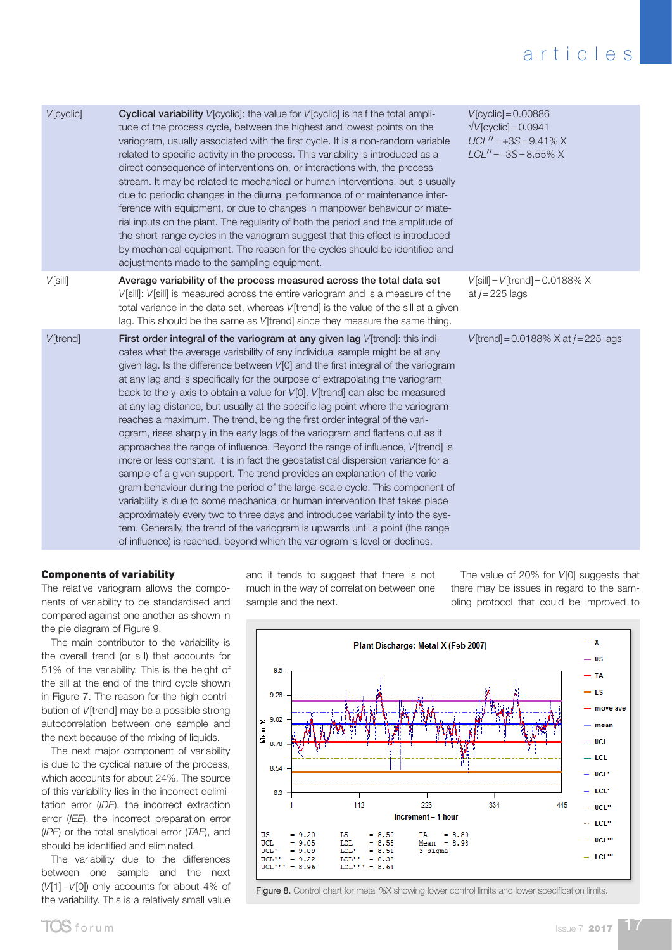| V[cyclic]        | <b>Cyclical variability</b> $V[\text{cyclic}]$ : the value for $V[\text{cyclic}]$ is half the total ampli-<br>tude of the process cycle, between the highest and lowest points on the<br>variogram, usually associated with the first cycle. It is a non-random variable<br>related to specific activity in the process. This variability is introduced as a<br>direct consequence of interventions on, or interactions with, the process<br>stream. It may be related to mechanical or human interventions, but is usually<br>due to periodic changes in the diurnal performance of or maintenance inter-<br>ference with equipment, or due to changes in manpower behaviour or mate-<br>rial inputs on the plant. The regularity of both the period and the amplitude of<br>the short-range cycles in the variogram suggest that this effect is introduced<br>by mechanical equipment. The reason for the cycles should be identified and<br>adjustments made to the sampling equipment.                                                                                                                                                                                                                                                                                                                                              | $V[cyclic] = 0.00886$<br>$\sqrt{V}$ [cyclic] = 0.0941<br>$UCL'' = +3S = 9.41\% X$<br>$LCL'' = -3S = 8.55\% X$ |
|------------------|-----------------------------------------------------------------------------------------------------------------------------------------------------------------------------------------------------------------------------------------------------------------------------------------------------------------------------------------------------------------------------------------------------------------------------------------------------------------------------------------------------------------------------------------------------------------------------------------------------------------------------------------------------------------------------------------------------------------------------------------------------------------------------------------------------------------------------------------------------------------------------------------------------------------------------------------------------------------------------------------------------------------------------------------------------------------------------------------------------------------------------------------------------------------------------------------------------------------------------------------------------------------------------------------------------------------------------------------|---------------------------------------------------------------------------------------------------------------|
| $V$ [sill]       | Average variability of the process measured across the total data set<br>V[sill]: V[sill] is measured across the entire variogram and is a measure of the<br>total variance in the data set, whereas V[trend] is the value of the sill at a given<br>lag. This should be the same as V[trend] since they measure the same thing.                                                                                                                                                                                                                                                                                                                                                                                                                                                                                                                                                                                                                                                                                                                                                                                                                                                                                                                                                                                                        | $V[\text{still}] = V[\text{trend}] = 0.0188\% \times$<br>at $j = 225$ lags                                    |
| <b>V</b> [trend] | First order integral of the variogram at any given lag V[trend]: this indi-<br>cates what the average variability of any individual sample might be at any<br>given lag. Is the difference between V[0] and the first integral of the variogram<br>at any lag and is specifically for the purpose of extrapolating the variogram<br>back to the y-axis to obtain a value for V[0]. V[trend] can also be measured<br>at any lag distance, but usually at the specific lag point where the variogram<br>reaches a maximum. The trend, being the first order integral of the vari-<br>ogram, rises sharply in the early lags of the variogram and flattens out as it<br>approaches the range of influence. Beyond the range of influence, V[trend] is<br>more or less constant. It is in fact the geostatistical dispersion variance for a<br>sample of a given support. The trend provides an explanation of the vario-<br>gram behaviour during the period of the large-scale cycle. This component of<br>variability is due to some mechanical or human intervention that takes place<br>approximately every two to three days and introduces variability into the sys-<br>tem. Generally, the trend of the variogram is upwards until a point (the range<br>of influence) is reached, beyond which the variogram is level or declines. | V[trend] = $0.0188\%$ X at $j = 225$ lags                                                                     |

### Components of variability

The relative variogram allows the components of variability to be standardised and compared against one another as shown in the pie diagram of Figure 9.

The main contributor to the variability is the overall trend (or sill) that accounts for 51% of the variability. This is the height of the sill at the end of the third cycle shown in Figure 7. The reason for the high contribution of *V*[trend] may be a possible strong autocorrelation between one sample and the next because of the mixing of liquids.

The next major component of variability is due to the cyclical nature of the process, which accounts for about 24%. The source of this variability lies in the incorrect delimitation error (*IDE*), the incorrect extraction error (*IEE*), the incorrect preparation error (*IPE*) or the total analytical error (*TAE*), and should be identified and eliminated.

The variability due to the differences between one sample and the next (*V*[1]–*V*[0]) only accounts for about 4% of the variability. This is a relatively small value and it tends to suggest that there is not much in the way of correlation between one sample and the next.

The value of 20% for *V*[0] suggests that there may be issues in regard to the sampling protocol that could be improved to



Figure 8. Control chart for metal %X showing lower control limits and lower specification limits.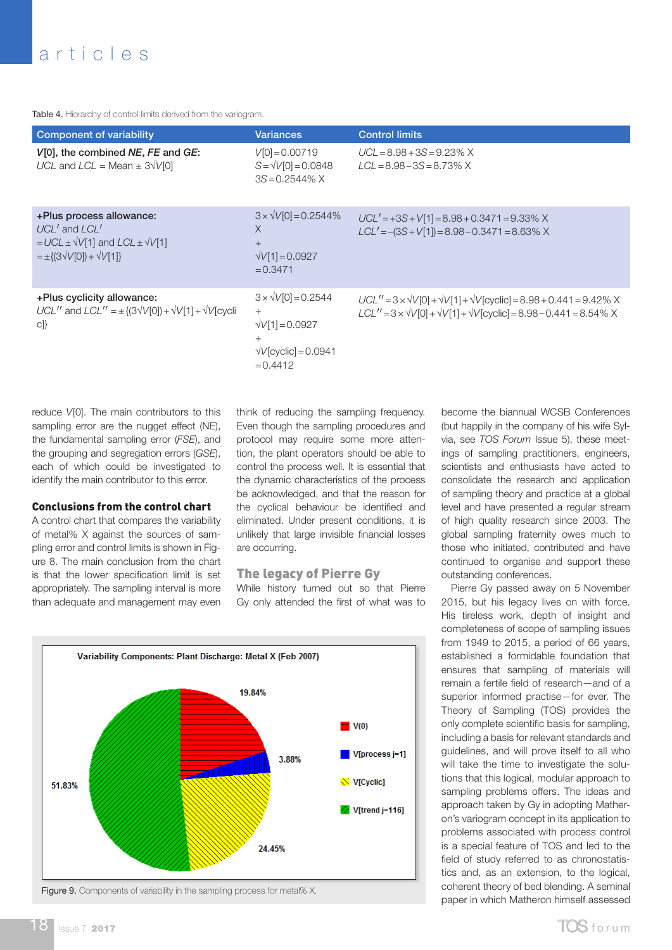Table 4. Hierarchy of control limits derived from the variogram.

| <b>Component of variability</b>                                                                                                               | <b>Variances</b>                                                                                                          | <b>Control limits</b>                                                                                                                                                       |
|-----------------------------------------------------------------------------------------------------------------------------------------------|---------------------------------------------------------------------------------------------------------------------------|-----------------------------------------------------------------------------------------------------------------------------------------------------------------------------|
| V[0], the combined NE, FE and GE:<br>UCL and $LCL = Mean \pm 3\sqrt{10}$                                                                      | $V[0] = 0.00719$<br>$S = \sqrt{V[0]} = 0.0848$<br>$3S = 0.2544\% X$                                                       | $UCL = 8.98 + 3S = 9.23\%$ X<br>$LCL = 8.98 - 3S = 8.73\%$ X                                                                                                                |
| +Plus process allowance:<br>$UCL'$ and $LCL'$<br>$= UCL \pm \sqrt{V[1]}$ and $LCL \pm \sqrt{V[1]}$<br>$=\pm \{(3\sqrt{V[0]}) + \sqrt{V[1]}\}$ | $3 \times \sqrt{V[0]} = 0.2544\%$<br>$\times$<br>$^{+}$<br>$\sqrt{V[1]} = 0.0927$<br>$= 0.3471$                           | $UCL' = +3S + V[1] = 8.98 + 0.3471 = 9.33\%$ X<br>$LCL' = -(3S + V[1]) = 8.98 - 0.3471 = 8.63\%$ X                                                                          |
| +Plus cyclicity allowance:<br>UCL" and $LCL'' = \pm \{(3\sqrt{V[0]}) + \sqrt{V[1]} + \sqrt{V[cyc]}\}$<br>$c$ ]}                               | $3 \times \sqrt{10} = 0.2544$<br>$^{+}$<br>$\sqrt{V[1]} = 0.0927$<br>$^{+}$<br>$\sqrt{V}$ [cyclic] = 0.0941<br>$= 0.4412$ | $UCL'' = 3 \times \sqrt{V[0]} + \sqrt{V[1]} + \sqrt{V[cyclic]} = 8.98 + 0.441 = 9.42\%$ X<br>$LCL'' = 3 \times \sqrt{10} + \sqrt{11} + \sqrt{10} = 8.98 - 0.441 = 8.54\%$ X |

reduce *V*[0]. The main contributors to this sampling error are the nugget effect (NE), the fundamental sampling error (*FSE*), and the grouping and segregation errors (*GSE*), each of which could be investigated to identify the main contributor to this error.

#### Conclusions from the control chart

A control chart that compares the variability of metal% X against the sources of sampling error and control limits is shown in Figure 8. The main conclusion from the chart is that the lower specification limit is set appropriately. The sampling interval is more than adequate and management may even

think of reducing the sampling frequency. Even though the sampling procedures and protocol may require some more attention, the plant operators should be able to control the process well. It is essential that the dynamic characteristics of the process be acknowledged, and that the reason for the cyclical behaviour be identified and eliminated. Under present conditions, it is unlikely that large invisible financial losses are occurring.

## The legacy of Pierre Gy

While history turned out so that Pierre Gy only attended the first of what was to



Figure 9. Components of variability in the sampling process for metal% X.

become the biannual WCSB Conferences (but happily in the company of his wife Sylvia, see *TOS Forum* Issue 5), these meetings of sampling practitioners, engineers, scientists and enthusiasts have acted to consolidate the research and application of sampling theory and practice at a global level and have presented a regular stream of high quality research since 2003. The global sampling fraternity owes much to those who initiated, contributed and have continued to organise and support these outstanding conferences.

Pierre Gy passed away on 5 November 2015, but his legacy lives on with force. His tireless work, depth of insight and completeness of scope of sampling issues from 1949 to 2015, a period of 66 years, established a formidable foundation that ensures that sampling of materials will remain a fertile field of research—and of a superior informed practise—for ever. The Theory of Sampling (TOS) provides the only complete scientific basis for sampling, including a basis for relevant standards and guidelines, and will prove itself to all who will take the time to investigate the solutions that this logical, modular approach to sampling problems offers. The ideas and approach taken by Gy in adopting Matheron's variogram concept in its application to problems associated with process control is a special feature of TOS and led to the field of study referred to as chronostatistics and, as an extension, to the logical, coherent theory of bed blending. A seminal paper in which Matheron himself assessed